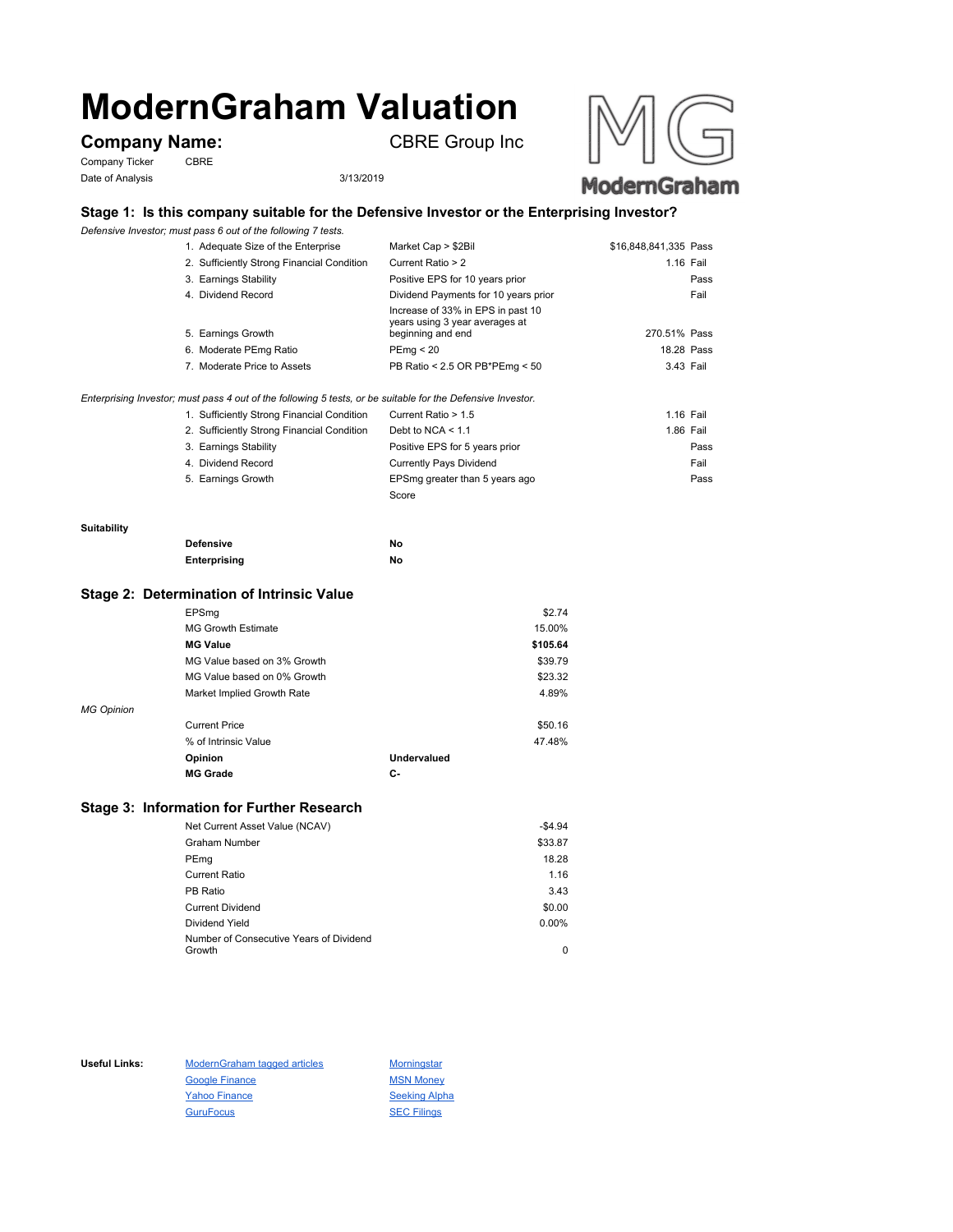# **ModernGraham Valuation**

# **Company Name:** CBRE Group Inc

Company Ticker CBRE Date of Analysis 3/13/2019





## **Stage 1: Is this company suitable for the Defensive Investor or the Enterprising Investor?**

*Defensive Investor; must pass 6 out of the following 7 tests.*

| 1. Adequate Size of the Enterprise         | Market Cap > \$2Bil                                                                      | \$16,848,841,335 Pass |
|--------------------------------------------|------------------------------------------------------------------------------------------|-----------------------|
| 2. Sufficiently Strong Financial Condition | Current Ratio > 2                                                                        | 1.16 Fail             |
| 3. Earnings Stability                      | Positive EPS for 10 years prior                                                          | Pass                  |
| 4. Dividend Record                         | Dividend Payments for 10 years prior                                                     | Fail                  |
| 5. Earnings Growth                         | Increase of 33% in EPS in past 10<br>years using 3 year averages at<br>beginning and end | 270.51% Pass          |
| 6. Moderate PEmg Ratio                     | PEmg < 20                                                                                | 18.28 Pass            |
| 7. Moderate Price to Assets                | PB Ratio < 2.5 OR PB*PEmg < 50                                                           | 3.43 Fail             |

*Enterprising Investor; must pass 4 out of the following 5 tests, or be suitable for the Defensive Investor.*

| 1. Sufficiently Strong Financial Condition | Current Ratio > 1.5            | 1.16 Fail |  |
|--------------------------------------------|--------------------------------|-----------|--|
| 2. Sufficiently Strong Financial Condition | Debt to NCA $<$ 1.1            | 1.86 Fail |  |
| 3. Earnings Stability                      | Positive EPS for 5 years prior | Pass      |  |
| 4. Dividend Record                         | <b>Currently Pays Dividend</b> | Fail      |  |
| 5. Earnings Growth                         | EPSmg greater than 5 years ago | Pass      |  |
|                                            | Score                          |           |  |

#### **Suitability**

| <b>Defensive</b> | Νo |
|------------------|----|
| Enterprising     | Νo |

#### **Stage 2: Determination of Intrinsic Value**

|                   | EPSmg                       |                    | \$2.74   |
|-------------------|-----------------------------|--------------------|----------|
|                   | <b>MG Growth Estimate</b>   |                    | 15.00%   |
|                   | <b>MG Value</b>             |                    | \$105.64 |
|                   | MG Value based on 3% Growth |                    | \$39.79  |
|                   | MG Value based on 0% Growth |                    | \$23.32  |
|                   | Market Implied Growth Rate  |                    | 4.89%    |
| <b>MG Opinion</b> |                             |                    |          |
|                   | <b>Current Price</b>        |                    | \$50.16  |
|                   | % of Intrinsic Value        |                    | 47.48%   |
|                   | Opinion                     | <b>Undervalued</b> |          |
|                   | <b>MG Grade</b>             | С-                 |          |
|                   |                             |                    |          |

### **Stage 3: Information for Further Research**

| Net Current Asset Value (NCAV)          | $-$4.94$ |
|-----------------------------------------|----------|
| Graham Number                           | \$33.87  |
| PEmg                                    | 18.28    |
| Current Ratio                           | 1.16     |
| PB Ratio                                | 3.43     |
| <b>Current Dividend</b>                 | \$0.00   |
| Dividend Yield                          | $0.00\%$ |
| Number of Consecutive Years of Dividend |          |
| Growth                                  | 0        |

Useful Links: ModernGraham tagged articles Morningstar Google Finance MSN Money Yahoo Finance Seeking Alpha GuruFocus SEC Filings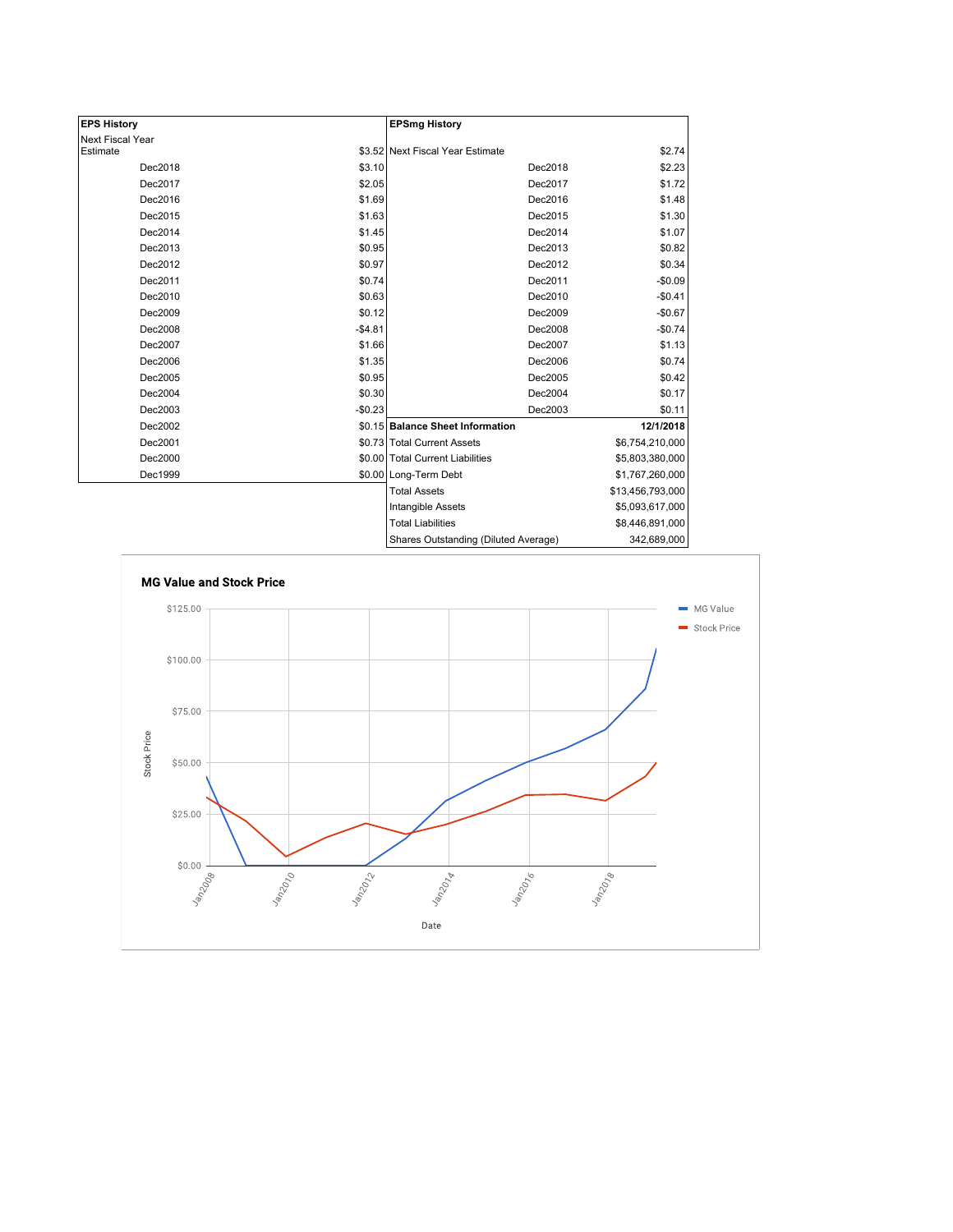| <b>EPS History</b> |          | <b>EPSmg History</b>                 |                  |
|--------------------|----------|--------------------------------------|------------------|
| Next Fiscal Year   |          |                                      |                  |
| Estimate           |          | \$3.52 Next Fiscal Year Estimate     | \$2.74           |
| Dec2018            | \$3.10   | Dec2018                              | \$2.23           |
| Dec2017            | \$2.05   | Dec2017                              | \$1.72           |
| Dec2016            | \$1.69   | Dec2016                              | \$1.48           |
| Dec2015            | \$1.63   | Dec2015                              | \$1.30           |
| Dec2014            | \$1.45   | Dec2014                              | \$1.07           |
| Dec2013            | \$0.95   | Dec2013                              | \$0.82           |
| Dec2012            | \$0.97   | Dec2012                              | \$0.34           |
| Dec2011            | \$0.74   | Dec2011                              | $-$0.09$         |
| Dec2010            | \$0.63   | Dec2010                              | $-$0.41$         |
| Dec2009            | \$0.12   | Dec2009                              | $-$0.67$         |
| Dec2008            | $-$4.81$ | Dec2008                              | $-$0.74$         |
| Dec2007            | \$1.66   | Dec2007                              | \$1.13           |
| Dec2006            | \$1.35   | Dec2006                              | \$0.74           |
| Dec2005            | \$0.95   | Dec2005                              | \$0.42           |
| Dec2004            | \$0.30   | Dec2004                              | \$0.17           |
| Dec2003            | $-$0.23$ | Dec2003                              | \$0.11           |
| Dec2002            |          | \$0.15 Balance Sheet Information     | 12/1/2018        |
| Dec2001            |          | \$0.73 Total Current Assets          | \$6,754,210,000  |
| Dec2000            |          | \$0.00 Total Current Liabilities     | \$5,803,380,000  |
| Dec1999            |          | \$0.00 Long-Term Debt                | \$1,767,260,000  |
|                    |          | <b>Total Assets</b>                  | \$13,456,793,000 |
|                    |          | Intangible Assets                    | \$5,093,617,000  |
|                    |          | <b>Total Liabilities</b>             | \$8,446,891,000  |
|                    |          | Shares Outstanding (Diluted Average) | 342,689,000      |